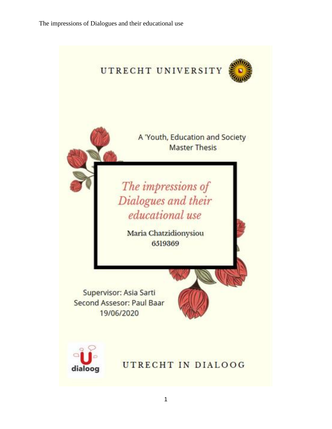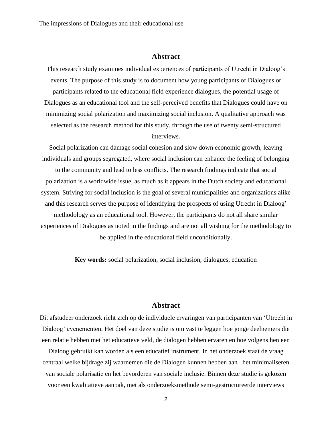### **Abstract**

This research study examines individual experiences of participants of Utrecht in Dialoog's events. The purpose of this study is to document how young participants of Dialogues or participants related to the educational field experience dialogues, the potential usage of Dialogues as an educational tool and the self-perceived benefits that Dialogues could have on minimizing social polarization and maximizing social inclusion. A qualitative approach was selected as the research method for this study, through the use of twenty semi-structured interviews.

Social polarization can damage social cohesion and slow down economic growth, leaving individuals and groups segregated, where social inclusion can enhance the feeling of belonging to the community and lead to less conflicts. The research findings indicate that social polarization is a worldwide issue, as much as it appears in the Dutch society and educational system. Striving for social inclusion is the goal of several municipalities and organizations alike and this research serves the purpose of identifying the prospects of using Utrecht in Dialoog' methodology as an educational tool. However, the participants do not all share similar experiences of Dialogues as noted in the findings and are not all wishing for the methodology to be applied in the educational field unconditionally.

**Key words:** social polarization, social inclusion, dialogues, education

### **Abstract**

Dit afstudeer onderzoek richt zich op de individuele ervaringen van participanten van 'Utrecht in Dialoog' evenementen. Het doel van deze studie is om vast te leggen hoe jonge deelnemers die een relatie hebben met het educatieve veld, de dialogen hebben ervaren en hoe volgens hen een

Dialoog gebruikt kan worden als een educatief instrument. In het onderzoek staat de vraag centraal welke bijdrage zij waarnemen die de Dialogen kunnen hebben aan het minimaliseren van sociale polarisatie en het bevorderen van sociale inclusie. Binnen deze studie is gekozen voor een kwalitatieve aanpak, met als onderzoeksmethode semi-gestructureerde interviews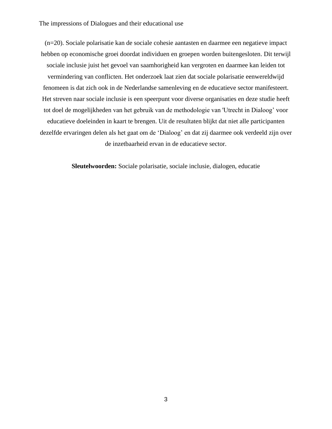(n=20). Sociale polarisatie kan de sociale cohesie aantasten en daarmee een negatieve impact hebben op economische groei doordat individuen en groepen worden buitengesloten. Dit terwijl sociale inclusie juist het gevoel van saamhorigheid kan vergroten en daarmee kan leiden tot vermindering van conflicten. Het onderzoek laat zien dat sociale polarisatie eenwereldwijd fenomeen is dat zich ook in de Nederlandse samenleving en de educatieve sector manifesteert. Het streven naar sociale inclusie is een speerpunt voor diverse organisaties en deze studie heeft tot doel de mogelijkheden van het gebruik van de methodologie van 'Utrecht in Dialoog' voor educatieve doeleinden in kaart te brengen. Uit de resultaten blijkt dat niet alle participanten dezelfde ervaringen delen als het gaat om de 'Dialoog' en dat zij daarmee ook verdeeld zijn over de inzetbaarheid ervan in de educatieve sector.

**Sleutelwoorden:** Sociale polarisatie, sociale inclusie, dialogen, educatie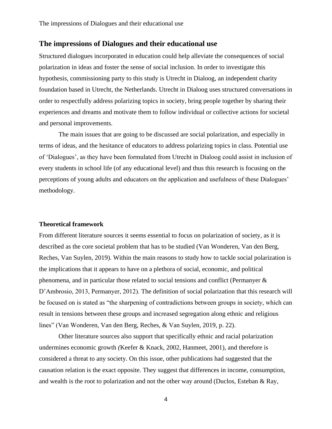Structured dialogues incorporated in education could help alleviate the consequences of social polarization in ideas and foster the sense of social inclusion. In order to investigate this hypothesis, commissioning party to this study is Utrecht in Dialoog, an independent charity foundation based in Utrecht, the Netherlands. Utrecht in Dialoog uses structured conversations in order to respectfully address polarizing topics in society, bring people together by sharing their experiences and dreams and motivate them to follow individual or collective actions for societal and personal improvements.

The main issues that are going to be discussed are social polarization, and especially in terms of ideas, and the hesitance of educators to address polarizing topics in class. Potential use of 'Dialogues', as they have been formulated from Utrecht in Dialoog could assist in inclusion of every students in school life (of any educational level) and thus this research is focusing on the perceptions of young adults and educators on the application and usefulness of these Dialogues' methodology.

#### **Theoretical framework**

From different literature sources it seems essential to focus on polarization of society, as it is described as the core societal problem that has to be studied (Van Wonderen, Van den Berg, Reches, Van Suylen, 2019). Within the main reasons to study how to tackle social polarization is the implications that it appears to have on a plethora of social, economic, and political phenomena, and in particular those related to social tensions and conflict (Permanyer & D'Ambrosio, 2013, Permanyer, 2012). The definition of social polarization that this research will be focused on is stated as "the sharpening of contradictions between groups in society, which can result in tensions between these groups and increased segregation along ethnic and religious lines" (Van Wonderen, Van den Berg, Reches, & Van Suylen, 2019, p. 22).

Other literature sources also support that specifically ethnic and racial polarization undermines economic growth *(*Keefer & Knack, 2002, Hanmeet, 2001), and therefore is considered a threat to any society. On this issue, other publications had suggested that the causation relation is the exact opposite. They suggest that differences in income, consumption, and wealth is the root to polarization and not the other way around (Duclos, Esteban & Ray,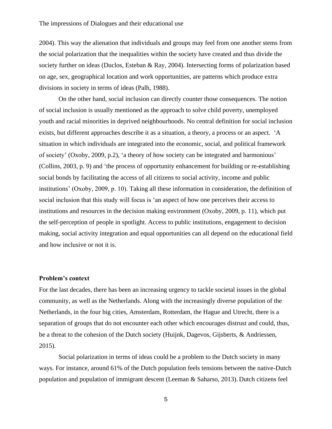2004). This way the alienation that individuals and groups may feel from one another stems from the social polarization that the inequalities within the society have created and thus divide the society further on ideas (Duclos, Esteban & Ray, 2004). Intersecting forms of polarization based on age, sex, geographical location and work opportunities, are patterns which produce extra divisions in society in terms of ideas (Palh, 1988).

On the other hand, social inclusion can directly counter those consequences. The notion of social inclusion is usually mentioned as the approach to solve child poverty, unemployed youth and racial minorities in deprived neighbourhoods. No central definition for social inclusion exists, but different approaches describe it as a situation, a theory, a process or an aspect. 'A situation in which individuals are integrated into the economic, social, and political framework of society' (Oxoby, 2009, p.2), 'a theory of how society can be integrated and harmonious' (Collins, 2003, p. 9) and 'the process of opportunity enhancement for building or re-establishing social bonds by facilitating the access of all citizens to social activity, income and public institutions' (Oxoby, 2009, p. 10). Taking all these information in consideration, the definition of social inclusion that this study will focus is 'an aspect of how one perceives their access to institutions and resources in the decision making environment (Oxoby, 2009, p. 11), which put the self-perception of people in spotlight. Access to public institutions, engagement to decision making, social activity integration and equal opportunities can all depend on the educational field and how inclusive or not it is.

#### **Problem's context**

For the last decades, there has been an increasing urgency to tackle societal issues in the global community, as well as the Netherlands. Along with the increasingly diverse population of the Netherlands, in the four big cities, Amsterdam, Rotterdam, the Hague and Utrecht, there is a separation of groups that do not encounter each other which encourages distrust and could, thus, be a threat to the cohesion of the Dutch society (Huijnk, Dagevos, Gijsberts, & Andriessen, 2015).

Social polarization in terms of ideas could be a problem to the Dutch society in many ways. For instance, around 61% of the Dutch population feels tensions between the native-Dutch population and population of immigrant descent (Leeman & Saharso, 2013). Dutch citizens feel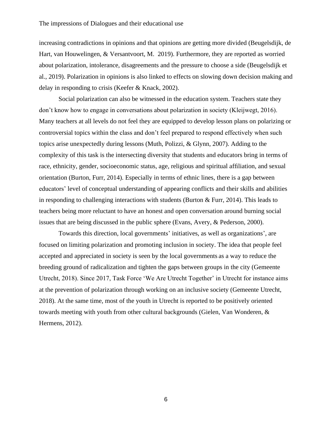increasing contradictions in opinions and that opinions are getting more divided (Beugelsdijk, de Hart, van Houwelingen, & Versantvoort, M. 2019). Furthermore, they are reported as worried about polarization, intolerance, disagreements and the pressure to choose a side (Beugelsdijk et al., 2019). Polarization in opinions is also linked to effects on slowing down decision making and delay in responding to crisis (Keefer & Knack, 2002).

Social polarization can also be witnessed in the education system. Teachers state they don't know how to engage in conversations about polarization in society (Kleijwegt, 2016). Many teachers at all levels do not feel they are equipped to develop lesson plans on polarizing or controversial topics within the class and don't feel prepared to respond effectively when such topics arise unexpectedly during lessons (Muth, Polizzi, & Glynn, 2007). Adding to the complexity of this task is the intersecting diversity that students and educators bring in terms of race, ethnicity, gender, socioeconomic status, age, religious and spiritual affiliation, and sexual orientation (Burton, Furr, 2014). Especially in terms of ethnic lines, there is a gap between educators' level of conceptual understanding of appearing conflicts and their skills and abilities in responding to challenging interactions with students (Burton & Furr, 2014). This leads to teachers being more reluctant to have an honest and open conversation around burning social issues that are being discussed in the public sphere (Evans, Avery, & Pederson, 2000).

Towards this direction, local governments' initiatives, as well as organizations', are focused on limiting polarization and promoting inclusion in society. The idea that people feel accepted and appreciated in society is seen by the local governments as a way to reduce the breeding ground of radicalization and tighten the gaps between groups in the city (Gemeente Utrecht, 2018). Since 2017, Task Force 'We Are Utrecht Together' in Utrecht for instance aims at the prevention of polarization through working on an inclusive society (Gemeente Utrecht, 2018). At the same time, most of the youth in Utrecht is reported to be positively oriented towards meeting with youth from other cultural backgrounds (Gielen, Van Wonderen, & Hermens, 2012).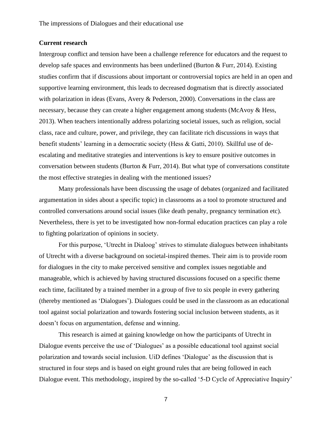#### **Current research**

Intergroup conflict and tension have been a challenge reference for educators and the request to develop safe spaces and environments has been underlined (Burton & Furr, 2014). Existing studies confirm that if discussions about important or controversial topics are held in an open and supportive learning environment, this leads to decreased dogmatism that is directly associated with polarization in ideas (Evans, Avery & Pederson, 2000). Conversations in the class are necessary, because they can create a higher engagement among students (McAvoy & Hess, 2013). When teachers intentionally address polarizing societal issues, such as religion, social class, race and culture, power, and privilege, they can facilitate rich discussions in ways that benefit students' learning in a democratic society (Hess & Gatti, 2010). Skillful use of deescalating and meditative strategies and interventions is key to ensure positive outcomes in conversation between students (Burton  $\&$  Furr, 2014). But what type of conversations constitute the most effective strategies in dealing with the mentioned issues?

Many professionals have been discussing the usage of debates (organized and facilitated argumentation in sides about a specific topic) in classrooms as a tool to promote structured and controlled conversations around social issues (like death penalty, pregnancy termination etc). Nevertheless, there is yet to be investigated how non-formal education practices can play a role to fighting polarization of opinions in society.

For this purpose, 'Utrecht in Dialoog' strives to stimulate dialogues between inhabitants of Utrecht with a diverse background on societal-inspired themes. Their aim is to provide room for dialogues in the city to make perceived sensitive and complex issues negotiable and manageable, which is achieved by having structured discussions focused on a specific theme each time, facilitated by a trained member in a group of five to six people in every gathering (thereby mentioned as 'Dialogues'). Dialogues could be used in the classroom as an educational tool against social polarization and towards fostering social inclusion between students, as it doesn't focus on argumentation, defense and winning.

This research is aimed at gaining knowledge on how the participants of Utrecht in Dialogue events perceive the use of 'Dialogues' as a possible educational tool against social polarization and towards social inclusion. UiD defines 'Dialogue' as the discussion that is structured in four steps and is based on eight ground rules that are being followed in each Dialogue event. This methodology, inspired by the so-called '5-D Cycle of Appreciative Inquiry'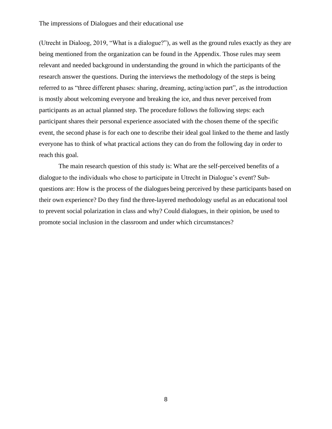(Utrecht in Dialoog, 2019, "What is a dialogue?"), as well as the ground rules exactly as they are being mentioned from the organization can be found in the Appendix. Those rules may seem relevant and needed background in understanding the ground in which the participants of the research answer the questions. During the interviews the methodology of the steps is being referred to as "three different phases: sharing, dreaming, acting/action part", as the introduction is mostly about welcoming everyone and breaking the ice, and thus never perceived from participants as an actual planned step. The procedure follows the following steps: each participant shares their personal experience associated with the chosen theme of the specific event, the second phase is for each one to describe their ideal goal linked to the theme and lastly everyone has to think of what practical actions they can do from the following day in order to reach this goal.

The main research question of this study is: What are the self-perceived benefits of a dialogue to the individuals who chose to participate in Utrecht in Dialogue's event? Subquestions are: How is the process of the dialogues being perceived by these participants based on their own experience? Do they find the three-layered methodology useful as an educational tool to prevent social polarization in class and why? Could dialogues, in their opinion, be used to promote social inclusion in the classroom and under which circumstances?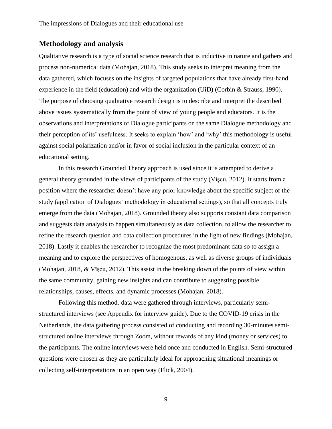### **Methodology and analysis**

Qualitative research is a type of social science research that is inductive in nature and gathers and process non-numerical data (Mohajan, 2018). This study seeks to interpret meaning from the data gathered, which focuses on the insights of targeted populations that have already first-hand experience in the field (education) and with the organization (UiD) (Corbin & Strauss, 1990). The purpose of choosing qualitative research design is to describe and interpret the described above issues systematically from the point of view of young people and educators. It is the observations and interpretations of Dialogue participants on the same Dialogue methodology and their perception of its' usefulness. It seeks to explain 'how' and 'why' this methodology is useful against social polarization and/or in favor of social inclusion in the particular context of an educational setting.

In this research Grounded Theory approach is used since it is attempted to derive a general theory grounded in the views of participants of the study (Vîşcu, 2012). It starts from a position where the researcher doesn't have any prior knowledge about the specific subject of the study (application of Dialogues' methodology in educational settings), so that all concepts truly emerge from the data (Mohajan, 2018). Grounded theory also supports constant data comparison and suggests data analysis to happen simultaneously as data collection, to allow the researcher to refine the research question and data collection procedures in the light of new findings (Mohajan, 2018). Lastly it enables the researcher to recognize the most predominant data so to assign a meaning and to explore the perspectives of homogenous, as well as diverse groups of individuals (Mohajan, 2018, & Vîşcu, 2012). This assist in the breaking down of the points of view within the same community, gaining new insights and can contribute to suggesting possible relationships, causes, effects, and dynamic processes (Mohajan, 2018).

Following this method, data were gathered through interviews, particularly semistructured interviews (see Appendix for interview guide). Due to the COVID-19 crisis in the Netherlands, the data gathering process consisted of conducting and recording 30-minutes semistructured online interviews through Zoom, without rewards of any kind (money or services) to the participants. The online interviews were held once and conducted in English. Semi-structured questions were chosen as they are particularly ideal for approaching situational meanings or collecting self-interpretations in an open way (Flick, 2004).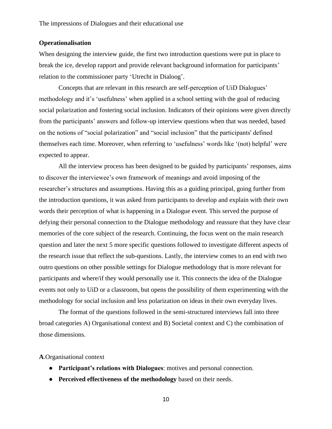#### **Operationalisation**

When designing the interview guide, the first two introduction questions were put in place to break the ice, develop rapport and provide relevant background information for participants' relation to the commissioner party 'Utrecht in Dialoog'.

Concepts that are relevant in this research are self-perception of UiD Dialogues' methodology and it's 'usefulness' when applied in a school setting with the goal of reducing social polarization and fostering social inclusion. Indicators of their opinions were given directly from the participants' answers and follow-up interview questions when that was needed, based on the notions of "social polarization" and "social inclusion" that the participants' defined themselves each time. Moreover, when referring to 'usefulness' words like '(not) helpful' were expected to appear.

All the interview process has been designed to be guided by participants' responses, aims to discover the interviewee's own framework of meanings and avoid imposing of the researcher's structures and assumptions. Having this as a guiding principal, going further from the introduction questions, it was asked from participants to develop and explain with their own words their perception of what is happening in a Dialogue event. This served the purpose of defying their personal connection to the Dialogue methodology and reassure that they have clear memories of the core subject of the research. Continuing, the focus went on the main research question and later the next 5 more specific questions followed to investigate different aspects of the research issue that reflect the sub-questions. Lastly, the interview comes to an end with two outro questions on other possible settings for Dialogue methodology that is more relevant for participants and where/if they would personally use it. This connects the idea of the Dialogue events not only to UiD or a classroom, but opens the possibility of them experimenting with the methodology for social inclusion and less polarization on ideas in their own everyday lives.

The format of the questions followed in the semi-structured interviews fall into three broad categories A) Organisational context and B) Societal context and C) the combination of those dimensions.

#### **A**.Organisational context

- **Participant's relations with Dialogues**: motives and personal connection.
- **Perceived effectiveness of the methodology** based on their needs.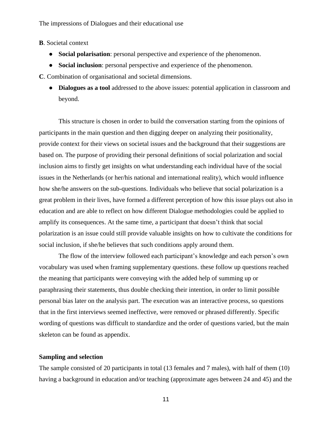**B**. Societal context

- **Social polarisation**: personal perspective and experience of the phenomenon.
- **Social inclusion**: personal perspective and experience of the phenomenon.

**C**. Combination of organisational and societal dimensions.

● **Dialogues as a tool** addressed to the above issues: potential application in classroom and beyond.

This structure is chosen in order to build the conversation starting from the opinions of participants in the main question and then digging deeper on analyzing their positionality, provide context for their views on societal issues and the background that their suggestions are based on. The purpose of providing their personal definitions of social polarization and social inclusion aims to firstly get insights on what understanding each individual have of the social issues in the Netherlands (or her/his national and international reality), which would influence how she/he answers on the sub-questions. Individuals who believe that social polarization is a great problem in their lives, have formed a different perception of how this issue plays out also in education and are able to reflect on how different Dialogue methodologies could be applied to amplify its consequences. At the same time, a participant that doesn't think that social polarization is an issue could still provide valuable insights on how to cultivate the conditions for social inclusion, if she/he believes that such conditions apply around them.

The flow of the interview followed each participant's knowledge and each person's own vocabulary was used when framing supplementary questions. these follow up questions reached the meaning that participants were conveying with the added help of summing up or paraphrasing their statements, thus double checking their intention, in order to limit possible personal bias later on the analysis part. The execution was an interactive process, so questions that in the first interviews seemed ineffective, were removed or phrased differently. Specific wording of questions was difficult to standardize and the order of questions varied, but the main skeleton can be found as appendix.

#### **Sampling and selection**

The sample consisted of 20 participants in total (13 females and 7 males), with half of them (10) having a background in education and/or teaching (approximate ages between 24 and 45) and the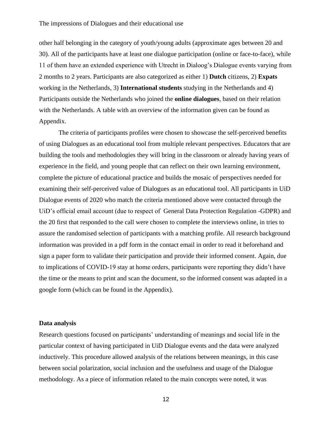other half belonging in the category of youth/young adults (approximate ages between 20 and 30). All of the participants have at least one dialogue participation (online or face-to-face), while 11 of them have an extended experience with Utrecht in Dialoog's Dialogue events varying from 2 months to 2 years. Participants are also categorized as either 1) **Dutch** citizens, 2) **Expats** working in the Netherlands, 3) **International students** studying in the Netherlands and 4) Participants outside the Netherlands who joined the **online dialogues**, based on their relation with the Netherlands. A table with an overview of the information given can be found as Appendix.

The criteria of participants profiles were chosen to showcase the self-perceived benefits of using Dialogues as an educational tool from multiple relevant perspectives. Educators that are building the tools and methodologies they will bring in the classroom or already having years of experience in the field, and young people that can reflect on their own learning environment, complete the picture of educational practice and builds the mosaic of perspectives needed for examining their self-perceived value of Dialogues as an educational tool. All participants in UiD Dialogue events of 2020 who match the criteria mentioned above were contacted through the UiD's official email account (due to respect of General Data Protection Regulation -GDPR) and the 20 first that responded to the call were chosen to complete the interviews online, in tries to assure the randomised selection of participants with a matching profile. All research background information was provided in a pdf form in the contact email in order to read it beforehand and sign a paper form to validate their participation and provide their informed consent. Again, due to implications of COVID-19 stay at home orders, participants were reporting they didn't have the time or the means to print and scan the document, so the informed consent was adapted in a google form (which can be found in the Appendix).

#### **Data analysis**

Research questions focused on participants' understanding of meanings and social life in the particular context of having participated in UiD Dialogue events and the data were analyzed inductively. This procedure allowed analysis of the relations between meanings, in this case between social polarization, social inclusion and the usefulness and usage of the Dialogue methodology. As a piece of information related to the main concepts were noted, it was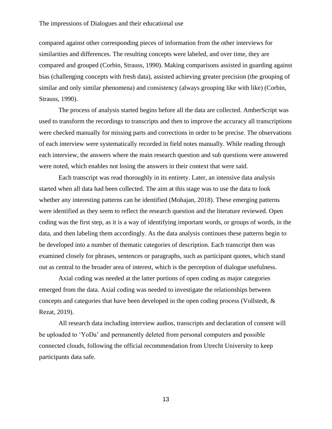compared against other corresponding pieces of information from the other interviews for similarities and differences. The resulting concepts were labeled, and over time, they are compared and grouped (Corbin, Strauss, 1990). Making comparisons assisted in guarding against bias (challenging concepts with fresh data), assisted achieving greater precision (the grouping of similar and only similar phenomena) and consistency (always grouping like with like) (Corbin, Strauss, 1990).

The process of analysis started begins before all the data are collected. AmberScript was used to transform the recordings to transcripts and then to improve the accuracy all transcriptions were checked manually for missing parts and corrections in order to be precise. The observations of each interview were systematically recorded in field notes manually. While reading through each interview, the answers where the main research question and sub questions were answered were noted, which enables not losing the answers in their context that were said.

Each transcript was read thoroughly in its entirety. Later, an intensive data analysis started when all data had been collected. The aim at this stage was to use the data to look whether any interesting patterns can be identified (Mohajan, 2018). These emerging patterns were identified as they seem to reflect the research question and the literature reviewed. Open coding was the first step, as it is a way of identifying important words, or groups of words, in the data, and then labeling them accordingly. As the data analysis continues these patterns begin to be developed into a number of thematic categories of description. Each transcript then was examined closely for phrases, sentences or paragraphs, such as participant quotes, which stand out as central to the broader area of interest, which is the perception of dialogue usefulness.

Axial coding was needed at the latter portions of open coding as major categories emerged from the data. Axial coding was needed to investigate the relationships between concepts and categories that have been developed in the open coding process (Vollstedt, & Rezat, 2019).

All research data including interview audios, transcripts and declaration of consent will be uploaded to 'YoDa' and permanently deleted from personal computers and possible connected clouds, following the official recommendation from Utrecht University to keep participants data safe.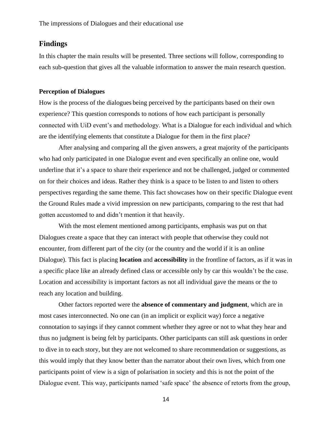### **Findings**

In this chapter the main results will be presented. Three sections will follow, corresponding to each sub-question that gives all the valuable information to answer the main research question.

#### **Perception of Dialogues**

How is the process of the dialogues being perceived by the participants based on their own experience? This question corresponds to notions of how each participant is personally connected with UiD event's and methodology. What is a Dialogue for each individual and which are the identifying elements that constitute a Dialogue for them in the first place?

After analysing and comparing all the given answers, a great majority of the participants who had only participated in one Dialogue event and even specifically an online one, would underline that it's a space to share their experience and not be challenged, judged or commented on for their choices and ideas. Rather they think is a space to be listen to and listen to others perspectives regarding the same theme. This fact showcases how on their specific Dialogue event the Ground Rules made a vivid impression on new participants, comparing to the rest that had gotten accustomed to and didn't mention it that heavily.

With the most element mentioned among participants, emphasis was put on that Dialogues create a space that they can interact with people that otherwise they could not encounter, from different part of the city (or the country and the world if it is an online Dialogue). This fact is placing **location** and **accessibility** in the frontline of factors, as if it was in a specific place like an already defined class or accessible only by car this wouldn't be the case. Location and accessibility is important factors as not all individual gave the means or the to reach any location and building.

Other factors reported were the **absence of commentary and judgment**, which are in most cases interconnected. No one can (in an implicit or explicit way) force a negative connotation to sayings if they cannot comment whether they agree or not to what they hear and thus no judgment is being felt by participants. Other participants can still ask questions in order to dive in to each story, but they are not welcomed to share recommendation or suggestions, as this would imply that they know better than the narrator about their own lives, which from one participants point of view is a sign of polarisation in society and this is not the point of the Dialogue event. This way, participants named 'safe space' the absence of retorts from the group,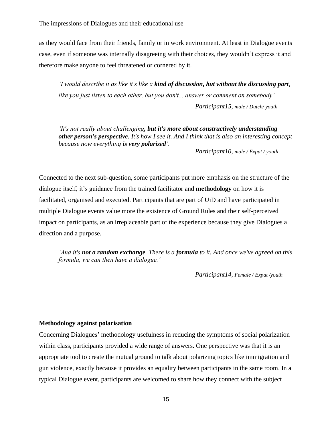as they would face from their friends, family or in work environment. At least in Dialogue events case, even if someone was internally disagreeing with their choices, they wouldn't express it and therefore make anyone to feel threatened or cornered by it.

*'I would describe it as like it's like a kind of discussion, but without the discussing part, like you just listen to each other, but you don't... answer or comment on somebody'. Participant15, male / Dutch/ youth*

*'It's not really about challenging, but it's more about constructively understanding other person's perspective. It's how I see it. And I think that is also an interesting concept because now everything is very polarized'.*

*Participant10, male / Expat / youth*

Connected to the next sub-question, some participants put more emphasis on the structure of the dialogue itself, it's guidance from the trained facilitator and **methodology** on how it is facilitated, organised and executed. Participants that are part of UiD and have participated in multiple Dialogue events value more the existence of Ground Rules and their self-perceived impact on participants, as an irreplaceable part of the experience because they give Dialogues a direction and a purpose.

*'And it's not a random exchange. There is a formula to it. And once we've agreed on this formula, we can then have a dialogue.'*

*Participant14, Female / Expat /youth*

#### **Methodology against polarisation**

Concerning Dialogues' methodology usefulness in reducing the symptoms of social polarization within class, participants provided a wide range of answers. One perspective was that it is an appropriate tool to create the mutual ground to talk about polarizing topics like immigration and gun violence, exactly because it provides an equality between participants in the same room. In a typical Dialogue event, participants are welcomed to share how they connect with the subject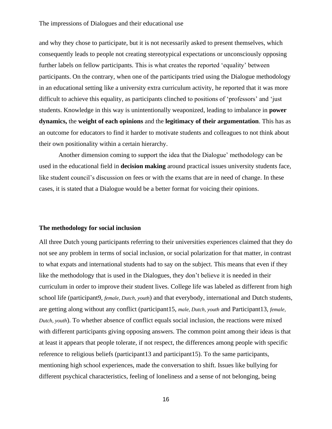and why they chose to participate, but it is not necessarily asked to present themselves, which consequently leads to people not creating stereotypical expectations or unconsciously opposing further labels on fellow participants. This is what creates the reported 'equality' between participants. On the contrary, when one of the participants tried using the Dialogue methodology in an educational setting like a university extra curriculum activity, he reported that it was more difficult to achieve this equality, as participants clinched to positions of 'professors' and 'just students. Knowledge in this way is unintentionally weaponized, leading to imbalance in **power dynamics,** the **weight of each opinions** and the **legitimacy of their argumentation**. This has as an outcome for educators to find it harder to motivate students and colleagues to not think about their own positionality within a certain hierarchy.

Another dimension coming to support the idea that the Dialogue' methodology can be used in the educational field in **decision making** around practical issues university students face, like student council's discussion on fees or with the exams that are in need of change. In these cases, it is stated that a Dialogue would be a better format for voicing their opinions.

#### **The methodology for social inclusion**

All three Dutch young participants referring to their universities experiences claimed that they do not see any problem in terms of social inclusion, or social polarization for that matter, in contrast to what expats and international students had to say on the subject. This means that even if they like the methodology that is used in the Dialogues, they don't believe it is needed in their curriculum in order to improve their student lives. College life was labeled as different from high school life (participant9, *female, Dutch, youth*) and that everybody, international and Dutch students, are getting along without any conflict (participant15, *male, Dutch, youth* and Participant13*, female, Dutch, youth*). To whether absence of conflict equals social inclusion, the reactions were mixed with different participants giving opposing answers. The common point among their ideas is that at least it appears that people tolerate, if not respect, the differences among people with specific reference to religious beliefs (participant13 and participant15). To the same participants, mentioning high school experiences, made the conversation to shift. Issues like bullying for different psychical characteristics, feeling of loneliness and a sense of not belonging, being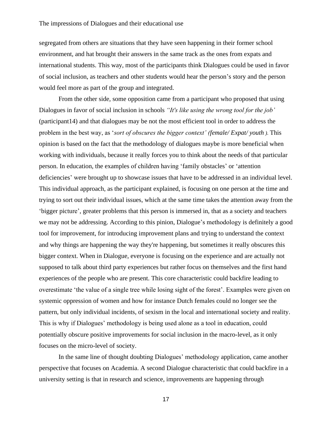segregated from others are situations that they have seen happening in their former school environment, and hat brought their answers in the same track as the ones from expats and international students. This way, most of the participants think Dialogues could be used in favor of social inclusion, as teachers and other students would hear the person's story and the person would feel more as part of the group and integrated.

From the other side, some opposition came from a participant who proposed that using Dialogues in favor of social inclusion in schools *"It's like using the wrong tool for the job'*  (participant14) and that dialogues may be not the most efficient tool in order to address the problem in the best way, as '*sort of obscures the bigger context' (female/ Expat/ youth ).* This opinion is based on the fact that the methodology of dialogues maybe is more beneficial when working with individuals, because it really forces you to think about the needs of that particular person. In education, the examples of children having 'family obstacles' or 'attention deficiencies' were brought up to showcase issues that have to be addressed in an individual level. This individual approach, as the participant explained, is focusing on one person at the time and trying to sort out their individual issues, which at the same time takes the attention away from the 'bigger picture', greater problems that this person is immersed in, that as a society and teachers we may not be addressing. According to this pinion, Dialogue's methodology is definitely a good tool for improvement, for introducing improvement plans and trying to understand the context and why things are happening the way they're happening, but sometimes it really obscures this bigger context. When in Dialogue, everyone is focusing on the experience and are actually not supposed to talk about third party experiences but rather focus on themselves and the first hand experiences of the people who are present. This core characteristic could backfire leading to overestimate 'the value of a single tree while losing sight of the forest'. Examples were given on systemic oppression of women and how for instance Dutch females could no longer see the pattern, but only individual incidents, of sexism in the local and international society and reality. This is why if Dialogues' methodology is being used alone as a tool in education, could potentially obscure positive improvements for social inclusion in the macro-level, as it only focuses on the micro-level of society.

In the same line of thought doubting Dialogues' methodology application, came another perspective that focuses on Academia. A second Dialogue characteristic that could backfire in a university setting is that in research and science, improvements are happening through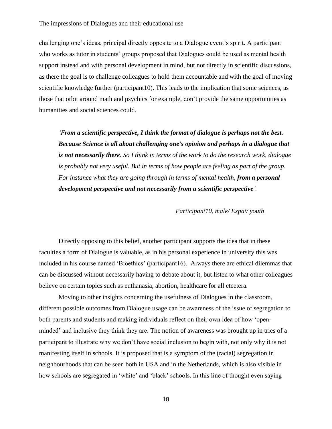challenging one's ideas, principal directly opposite to a Dialogue event's spirit. A participant who works as tutor in students' groups proposed that Dialogues could be used as mental health support instead and with personal development in mind, but not directly in scientific discussions, as there the goal is to challenge colleagues to hold them accountable and with the goal of moving scientific knowledge further (participant10). This leads to the implication that some sciences, as those that orbit around math and psychics for example, don't provide the same opportunities as humanities and social sciences could.

*'From a scientific perspective, I think the format of dialogue is perhaps not the best. Because Science is all about challenging one's opinion and perhaps in a dialogue that is not necessarily there. So I think in terms of the work to do the research work, dialogue is probably not very useful. But in terms of how people are feeling as part of the group. For instance what they are going through in terms of mental health, from a personal development perspective and not necessarily from a scientific perspective'.*

*Participant10, male/ Expat/ youth*

Directly opposing to this belief, another participant supports the idea that in these faculties a form of Dialogue is valuable, as in his personal experience in university this was included in his course named 'Bioethics' (participant16). Always there are ethical dilemmas that can be discussed without necessarily having to debate about it, but listen to what other colleagues believe on certain topics such as euthanasia, abortion, healthcare for all etcetera.

Moving to other insights concerning the usefulness of Dialogues in the classroom, different possible outcomes from Dialogue usage can be awareness of the issue of segregation to both parents and students and making individuals reflect on their own idea of how 'openminded' and inclusive they think they are. The notion of awareness was brought up in tries of a participant to illustrate why we don't have social inclusion to begin with, not only why it is not manifesting itself in schools. It is proposed that is a symptom of the (racial) segregation in neighbourhoods that can be seen both in USA and in the Netherlands, which is also visible in how schools are segregated in 'white' and 'black' schools. In this line of thought even saying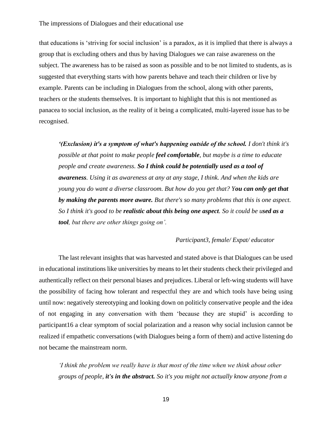that educations is 'striving for social inclusion' is a paradox, as it is implied that there is always a group that is excluding others and thus by having Dialogues we can raise awareness on the subject. The awareness has to be raised as soon as possible and to be not limited to students, as is suggested that everything starts with how parents behave and teach their children or live by example. Parents can be including in Dialogues from the school, along with other parents, teachers or the students themselves. It is important to highlight that this is not mentioned as panacea to social inclusion, as the reality of it being a complicated, multi-layered issue has to be recognised.

*'(Exclusion) it's a symptom of what's happening outside of the school. I don't think it's possible at that point to make people feel comfortable, but maybe is a time to educate people and create awareness. So I think could be potentially used as a tool of awareness. Using it as awareness at any at any stage, I think. And when the kids are young you do want a diverse classroom. But how do you get that? You can only get that by making the parents more aware. But there's so many problems that this is one aspect. So I think it's good to be realistic about this being one aspect. So it could be used as a tool, but there are other things going on'.* 

#### *Participant3, female/ Expat/ educator*

The last relevant insights that was harvested and stated above is that Dialogues can be used in educational institutions like universities by means to let their students check their privileged and authentically reflect on their personal biases and prejudices. Liberal or left-wing students will have the possibility of facing how tolerant and respectful they are and which tools have being using until now: negatively stereotyping and looking down on politicly conservative people and the idea of not engaging in any conversation with them 'because they are stupid' is according to participant16 a clear symptom of social polarization and a reason why social inclusion cannot be realized if empathetic conversations (with Dialogues being a form of them) and active listening do not became the mainstream norm.

*'I think the problem we really have is that most of the time when we think about other groups of people, it's in the abstract. So it's you might not actually know anyone from a*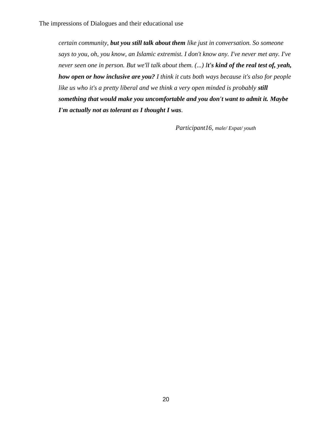*certain community, but you still talk about them like just in conversation. So someone says to you, oh, you know, an Islamic extremist. I don't know any. I've never met any. I've never seen one in person. But we'll talk about them. (...) It's kind of the real test of, yeah, how open or how inclusive are you? I think it cuts both ways because it's also for people like us who it's a pretty liberal and we think a very open minded is probably still something that would make you uncomfortable and you don't want to admit it. Maybe I'm actually not as tolerant as I thought I was.*

*Participant16, male/ Expat/ youth*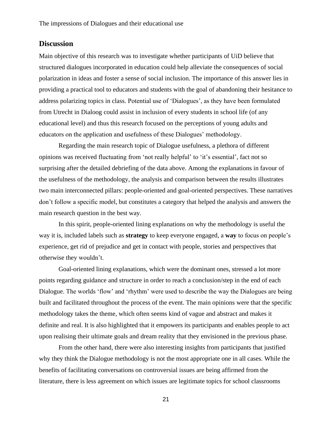### **Discussion**

Main objective of this research was to investigate whether participants of UiD believe that structured dialogues incorporated in education could help alleviate the consequences of social polarization in ideas and foster a sense of social inclusion. The importance of this answer lies in providing a practical tool to educators and students with the goal of abandoning their hesitance to address polarizing topics in class. Potential use of 'Dialogues', as they have been formulated from Utrecht in Dialoog could assist in inclusion of every students in school life (of any educational level) and thus this research focused on the perceptions of young adults and educators on the application and usefulness of these Dialogues' methodology.

Regarding the main research topic of Dialogue usefulness, a plethora of different opinions was received fluctuating from 'not really helpful' to 'it's essential', fact not so surprising after the detailed debriefing of the data above. Among the explanations in favour of the usefulness of the methodology, the analysis and comparison between the results illustrates two main interconnected pillars: people-oriented and goal-oriented perspectives. These narratives don't follow a specific model, but constitutes a category that helped the analysis and answers the main research question in the best way.

In this spirit, people-oriented lining explanations on why the methodology is useful the way it is, included labels such as **strategy** to keep everyone engaged, a **way** to focus on people's experience, get rid of prejudice and get in contact with people, stories and perspectives that otherwise they wouldn't.

Goal-oriented lining explanations, which were the dominant ones, stressed a lot more points regarding guidance and structure in order to reach a conclusion/step in the end of each Dialogue. The worlds 'flow' and 'rhythm' were used to describe the way the Dialogues are being built and facilitated throughout the process of the event. The main opinions were that the specific methodology takes the theme, which often seems kind of vague and abstract and makes it definite and real. It is also highlighted that it empowers its participants and enables people to act upon realising their ultimate goals and dream reality that they envisioned in the previous phase.

From the other hand, there were also interesting insights from participants that justified why they think the Dialogue methodology is not the most appropriate one in all cases. While the benefits of facilitating conversations on controversial issues are being affirmed from the literature, there is less agreement on which issues are legitimate topics for school classrooms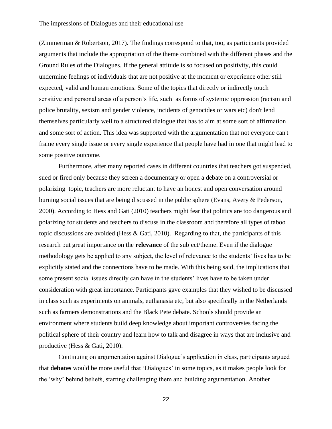(Zimmerman & Robertson, 2017). The findings correspond to that, too, as participants provided arguments that include the appropriation of the theme combined with the different phases and the Ground Rules of the Dialogues. If the general attitude is so focused on positivity, this could undermine feelings of individuals that are not positive at the moment or experience other still expected, valid and human emotions. Some of the topics that directly or indirectly touch sensitive and personal areas of a person's life, such as forms of systemic oppression (racism and police brutality, sexism and gender violence, incidents of genocides or wars etc) don't lend themselves particularly well to a structured dialogue that has to aim at some sort of affirmation and some sort of action. This idea was supported with the argumentation that not everyone can't frame every single issue or every single experience that people have had in one that might lead to some positive outcome.

Furthermore, after many reported cases in different countries that teachers got suspended, sued or fired only because they screen a documentary or open a debate on a controversial or polarizing topic, teachers are more reluctant to have an honest and open conversation around burning social issues that are being discussed in the public sphere (Evans, Avery & Pederson, 2000). According to Hess and Gati (2010) teachers might fear that politics are too dangerous and polarizing for students and teachers to discuss in the classroom and therefore all types of taboo topic discussions are avoided (Hess & Gati, 2010). Regarding to that, the participants of this research put great importance on the **relevance** of the subject/theme. Even if the dialogue methodology gets be applied to any subject, the level of relevance to the students' lives has to be explicitly stated and the connections have to be made. With this being said, the implications that some present social issues directly can have in the students' lives have to be taken under consideration with great importance. Participants gave examples that they wished to be discussed in class such as experiments on animals, euthanasia etc, but also specifically in the Netherlands such as farmers demonstrations and the Black Pete debate. Schools should provide an environment where students build deep knowledge about important controversies facing the political sphere of their country and learn how to talk and disagree in ways that are inclusive and productive (Hess & Gati, 2010).

Continuing on argumentation against Dialogue's application in class, participants argued that **debates** would be more useful that 'Dialogues' in some topics, as it makes people look for the 'why' behind beliefs, starting challenging them and building argumentation. Another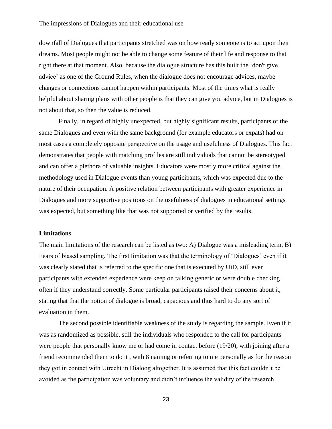downfall of Dialogues that participants stretched was on how ready someone is to act upon their dreams. Most people might not be able to change some feature of their life and response to that right there at that moment. Also, because the dialogue structure has this built the 'don't give advice' as one of the Ground Rules, when the dialogue does not encourage advices, maybe changes or connections cannot happen within participants. Most of the times what is really helpful about sharing plans with other people is that they can give you advice, but in Dialogues is not about that, so then the value is reduced.

Finally, in regard of highly unexpected, but highly significant results, participants of the same Dialogues and even with the same background (for example educators or expats) had on most cases a completely opposite perspective on the usage and usefulness of Dialogues. This fact demonstrates that people with matching profiles are still individuals that cannot be stereotyped and can offer a plethora of valuable insights. Educators were mostly more critical against the methodology used in Dialogue events than young participants, which was expected due to the nature of their occupation. A positive relation between participants with greater experience in Dialogues and more supportive positions on the usefulness of dialogues in educational settings was expected, but something like that was not supported or verified by the results.

#### **Limitations**

The main limitations of the research can be listed as two: A) Dialogue was a misleading term, B) Fears of biased sampling. The first limitation was that the terminology of 'Dialogues' even if it was clearly stated that is referred to the specific one that is executed by UiD, still even participants with extended experience were keep on talking generic or were double checking often if they understand correctly. Some particular participants raised their concerns about it, stating that that the notion of dialogue is broad, capacious and thus hard to do any sort of evaluation in them.

The second possible identifiable weakness of the study is regarding the sample. Even if it was as randomized as possible, still the individuals who responded to the call for participants were people that personally know me or had come in contact before (19/20), with joining after a friend recommended them to do it , with 8 naming or referring to me personally as for the reason they got in contact with Utrecht in Dialoog altogether. It is assumed that this fact couldn't be avoided as the participation was voluntary and didn't influence the validity of the research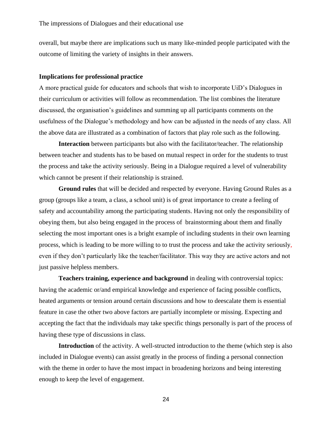overall, but maybe there are implications such us many like-minded people participated with the outcome of limiting the variety of insights in their answers.

#### **Implications for professional practice**

A more practical guide for educators and schools that wish to incorporate UiD's Dialogues in their curriculum or activities will follow as recommendation. The list combines the literature discussed, the organisation's guidelines and summing up all participants comments on the usefulness of the Dialogue's methodology and how can be adjusted in the needs of any class. All the above data are illustrated as a combination of factors that play role such as the following.

**Interaction** between participants but also with the facilitator/teacher. The relationship between teacher and students has to be based on mutual respect in order for the students to trust the process and take the activity seriously. Being in a Dialogue required a level of vulnerability which cannot be present if their relationship is strained.

**Ground rules** that will be decided and respected by everyone. Having Ground Rules as a group (groups like a team, a class, a school unit) is of great importance to create a feeling of safety and accountability among the participating students. Having not only the responsibility of obeying them, but also being engaged in the process of brainstorming about them and finally selecting the most important ones is a bright example of including students in their own learning process, which is leading to be more willing to to trust the process and take the activity seriously, even if they don't particularly like the teacher/facilitator. This way they are active actors and not just passive helpless members.

**Teachers training, experience and background** in dealing with controversial topics: having the academic or/and empirical knowledge and experience of facing possible conflicts, heated arguments or tension around certain discussions and how to deescalate them is essential feature in case the other two above factors are partially incomplete or missing. Expecting and accepting the fact that the individuals may take specific things personally is part of the process of having these type of discussions in class.

**Introduction** of the activity. A well-structed introduction to the theme (which step is also included in Dialogue events) can assist greatly in the process of finding a personal connection with the theme in order to have the most impact in broadening horizons and being interesting enough to keep the level of engagement.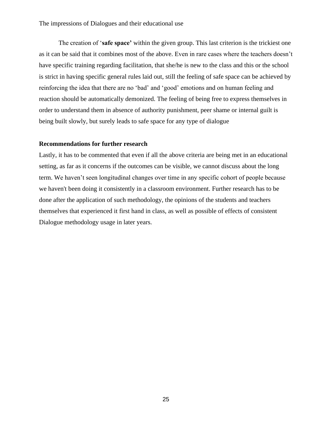The creation of '**safe space'** within the given group. This last criterion is the trickiest one as it can be said that it combines most of the above. Even in rare cases where the teachers doesn't have specific training regarding facilitation, that she/he is new to the class and this or the school is strict in having specific general rules laid out, still the feeling of safe space can be achieved by reinforcing the idea that there are no 'bad' and 'good' emotions and on human feeling and reaction should be automatically demonized. The feeling of being free to express themselves in order to understand them in absence of authority punishment, peer shame or internal guilt is being built slowly, but surely leads to safe space for any type of dialogue

#### **Recommendations for further research**

Lastly, it has to be commented that even if all the above criteria are being met in an educational setting, as far as it concerns if the outcomes can be visible, we cannot discuss about the long term. We haven't seen longitudinal changes over time in any specific cohort of people because we haven't been doing it consistently in a classroom environment. Further research has to be done after the application of such methodology, the opinions of the students and teachers themselves that experienced it first hand in class, as well as possible of effects of consistent Dialogue methodology usage in later years.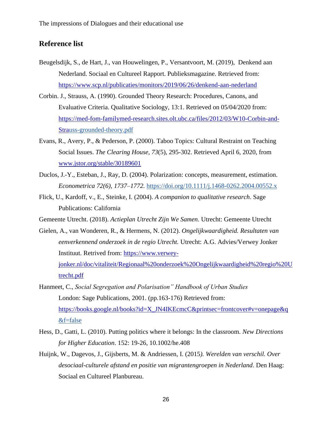### **Reference list**

- Beugelsdijk, S., de Hart, J., van Houwelingen, P., Versantvoort, M. (2019), Denkend aan Nederland. Sociaal en Cultureel Rapport. Publieksmagazine. Retrieved from: <https://www.scp.nl/publicaties/monitors/2019/06/26/denkend-aan-nederland>
- Corbin. J., Strauss, A. (1990). Grounded Theory Research: Procedures, Canons, and Evaluative Criteria. Qualitative Sociology, 13:1. Retrieved on 05/04/2020 from: [https://med-fom-familymed-research.sites.olt.ubc.ca/files/2012/03/W10-Corbin-and-](https://med-fom-familymed-research.sites.olt.ubc.ca/files/2012/03/W10-Corbin-and-Stra)[Stra](https://med-fom-familymed-research.sites.olt.ubc.ca/files/2012/03/W10-Corbin-and-Stra)[uss-grounded-theory.pdf](https://med-fom-familymed-research.sites.olt.ubc.ca/files/2012/03/W10-Corbin-and-Strauss-grounded-theory.pdf)
- Evans, R., Avery, P., & Pederson, P. (2000). Taboo Topics: Cultural Restraint on Teaching Social Issues. *The Clearing House, 73*(5), 295-302. Retrieved April 6, 2020, from [www.jstor.org/stable/30189601](http://www.jstor.org/stable/30189601)
- Duclos, J.-Y., Esteban, J., Ray, D. (2004). Polarization: concepts, measurement, estimation. *Econometrica 72(6), 1737–1772.* <https://doi.org/10.1111/j.1468-0262.2004.00552.x>
- Flick, U., Kardoff, v., E., Steinke, I. (2004). *A companion to qualitative research*. Sage Publications: California
- Gemeente Utrecht. (2018). *Actieplan Utrecht Zijn We Samen*. Utrecht: Gemeente Utrecht
- Gielen, A., van Wonderen, R., & Hermens, N. (2012). *Ongelijkwaardigheid. Resultaten van eenverkennend onderzoek in de regio Utrecht.* Utrecht: A.G. Advies/Verwey Jonker Instituut. Retrived from: [https://www.verwey](https://www.verwey-jonker.nl/doc/vitaliteit/Regionaal%20onderzoek%20Ongelijkwaardigheid%20regio%20Utrecht.pdf)[jonker.nl/doc/vitaliteit/Regionaal%20onderzoek%20Ongelijkwaardigheid%20regio%20U](https://www.verwey-jonker.nl/doc/vitaliteit/Regionaal%20onderzoek%20Ongelijkwaardigheid%20regio%20Utrecht.pdf) [trecht.pdf](https://www.verwey-jonker.nl/doc/vitaliteit/Regionaal%20onderzoek%20Ongelijkwaardigheid%20regio%20Utrecht.pdf)
- Hanmeet, C., *Social Segregation and Polarisation" Handbook of Urban Studies* London: Sage Publications, 2001. (pp.163-176) Retrieved from: [https://books.google.nl/books?id=X\\_JN4IKEcmcC&printsec=frontcover#v=onepage&q](https://books.google.nl/books?id=X_JN4IKEcmcC&printsec=frontcover#v=onepage&q) [&f=false](https://books.google.nl/books?id=X_JN4IKEcmcC&printsec=frontcover#v=onepage&q&f=false)
- Hess, D., Gatti, L. (2010). Putting politics where it belongs: In the classroom. *New Directions for Higher Education*. 152: 19-26, 10.1002/he.408
- Huijnk, W., Dagevos, J., Gijsberts, M. & Andriessen, I. (2015*). Werelden van verschil. Over desociaal-culturele afstand en positie van migrantengroepen in Nederland*. Den Haag: Sociaal en Cultureel Planbureau.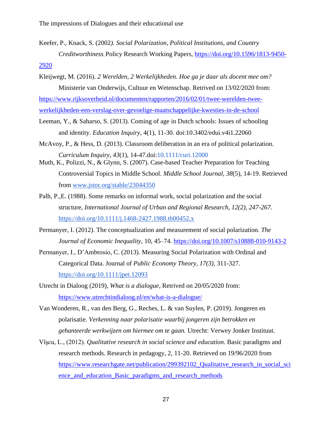- Keefer, P., Knack, S. (2002*). Social Polarization, Political Institutions, and Country Creditworthiness*, Policy Research Working Papers, [https://doi.org/10.1596/1813-9450-](https://doi.org/10.1596/1813-9450-2920) [2920](https://doi.org/10.1596/1813-9450-2920)
- Kleijwegt, M. (2016). *2 Werelden, 2 Werkelijkheden. Hoe ga je daar als docent mee om?* Ministerie van Onderwijs, Cultuur en Wetenschap. Retrived on 13/02/2020 from: [https://www.rijksoverheid.nl/documenten/rapporten/2016/02/01/twee-werelden-twee](https://www.rijksoverheid.nl/documenten/rapporten/2016/02/01/twee-werelden-twee-werkelijkheden-een-verslag-over-gevoelige-maatschappelijke-kwesties-in-de-school)[werkelijkheden-een-verslag-over-gevoelige-maatschappelijke-kwesties-in-de-school](https://www.rijksoverheid.nl/documenten/rapporten/2016/02/01/twee-werelden-twee-werkelijkheden-een-verslag-over-gevoelige-maatschappelijke-kwesties-in-de-school)
- Leeman, Y., & Saharso, S. (2013). Coming of age in Dutch schools: Issues of schooling and identity. *Education Inquiry*, 4(1), 11-30. doi:10.3402/edui.v4i1.22060
- McAvoy, P., & Hess, D. (2013). Classroom deliberation in an era of political polarization. *Curriculum Inquiry*, *43*(1), 14-47.doi[:10.1111/curi.12000](https://doi.org/10.1111/curi.12000)
- Muth, K., Polizzi, N., & Glynn, S. (2007). Case-based Teacher Preparation for Teaching Controversial Topics in Middle School. *Middle School Journal, 38*(5), 14-19. Retrieved from [www.jstor.org/stable/23044350](http://www.jstor.org/stable/23044350)
- Palh, P.,E. (1988). Some remarks on informal work, social polarization and the social structure, *International Journal of Urban and Regional Research, 12(2), 247-267.*  <https://doi.org/10.1111/j.1468-2427.1988.tb00452.x>
- Permanyer, I. (2012). The conceptualization and measurement of social polarization. *The Journal of Economic Inequality,* 10, 45–74.<https://doi.org/10.1007/s10888-010-9143-2>
- Permanyer, I., D'Ambrosio, C. (2013). Measuring Social Polarization with Ordinal and Categorical Data. Journal of *Public Economy Theory, 17(3),* 311-327[.](https://doi.org/10.1111/jpet.12093) <https://doi.org/10.1111/jpet.12093>
- Utrecht in Dialoog (2019), *What is a dialogue,* Retrived on 20/05/2020 from: <https://www.utrechtindialoog.nl/en/what-is-a-dialogue/>
- Van Wonderen, R., van den Berg, G., Reches, L. & van Suylen, P. (2019). Jongeren en polarisatie. *Verkenning naar polarisatie waarbij jongeren zijn betrokken en gehanteerde werkwijzen om hiermee om te gaan.* Utrecht: Verwey Jonker Instituut.
- Vîşcu, L., (2012). *Qualitative research in social science and education*. Basic paradigms and research methods. Research in pedagogy, 2, 11-20. Retrieved on 19/96/2020 from https://www.researchgate.net/publication/299392102 Qualitative research in social sci [ence\\_and\\_education\\_Basic\\_paradigms\\_and\\_research\\_methods](https://www.researchgate.net/publication/299392102_Qualitative_research_in_social_science_and_education_Basic_paradigms_and_research_methods)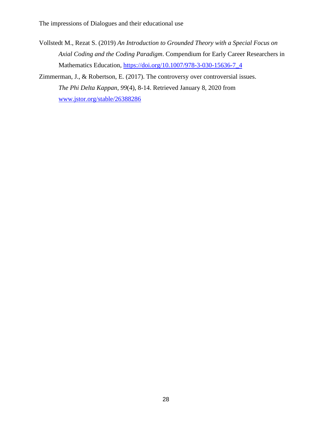Vollstedt M., Rezat S. (2019) *An Introduction to Grounded Theory with a Special Focus on Axial Coding and the Coding Paradigm*. Compendium for Early Career Researchers in Mathematics Education, [https://doi.org/10.1007/978-3-030-15636-7\\_4](https://doi.org/10.1007/978-3-030-15636-7_4)

Zimmerman, J., & Robertson, E. (2017). The controversy over controversial issues. *The Phi Delta Kappan, 99*(4), 8-14. Retrieved January 8, 2020 from [www.jstor.org/stable/26388286](http://www.jstor.org/stable/26388286)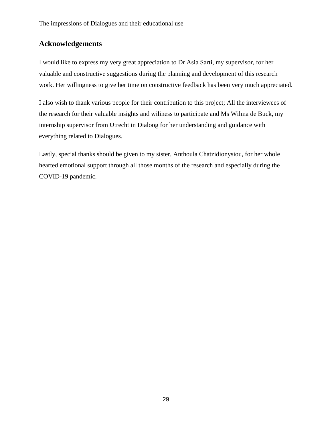# **Acknowledgements**

I would like to express my very great appreciation to Dr Asia Sarti, my supervisor, for her valuable and constructive suggestions during the planning and development of this research work. Her willingness to give her time on constructive feedback has been very much appreciated.

I also wish to thank various people for their contribution to this project; All the interviewees of the research for their valuable insights and wiliness to participate and Ms Wilma de Buck, my internship supervisor from Utrecht in Dialoog for her understanding and guidance with everything related to Dialogues.

Lastly, special thanks should be given to my sister, Anthoula Chatzidionysiou, for her whole hearted emotional support through all those months of the research and especially during the COVID-19 pandemic.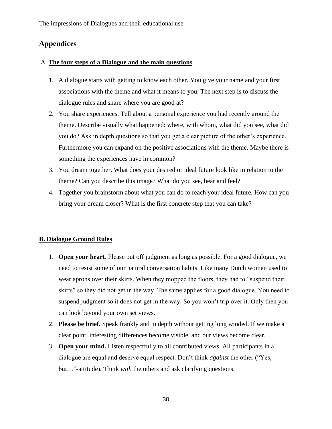# **Appendices**

### A. **The four steps of a Dialogue and the main questions**

- 1. A dialogue starts with getting to know each other. You give your name and your first associations with the theme and what it means to you. The next step is to discuss the dialogue rules and share where you are good at?
- 2. You share experiences. Tell about a personal experience you had recently around the theme. Describe visually what happened: where, with whom, what did you see, what did you do? Ask in depth questions so that you get a clear picture of the other's experience. Furthermore you can expand on the positive associations with the theme. Maybe there is something the experiences have in common?
- 3. You dream together. What does your desired or ideal future look like in relation to the theme? Can you describe this image? What do you see, hear and feel?
- 4. Together you brainstorm about what you can do to reach your ideal future. How can you bring your dream closer? What is the first concrete step that you can take?

### **B. Dialogue Ground Rules**

- 1. **Open your heart.** Please put off judgment as long as possible. For a good dialogue, we need to resist some of our natural conversation habits. Like many Dutch women used to wear aprons over their skirts. When they mopped the floors, they had to "suspend their skirts" so they did not get in the way. The same applies for a good dialogue. You need to suspend judgment so it does not get in the way. So you won't trip over it. Only then you can look beyond your own set views.
- 2. **Please be brief.** Speak frankly and in depth without getting long winded. If we make a clear point, interesting differences become visible, and our views become clear.
- 3. **Open your mind.** Listen respectfully to all contributed views. All participants in a dialogue are equal and deserve equal respect. Don't think *against* the other ("Yes, but…"-attitude). Think *with* the others and ask clarifying questions.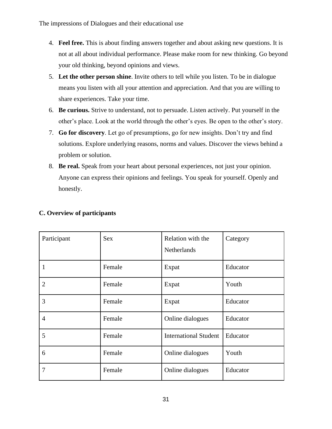- 4. **Feel free.** This is about finding answers together and about asking new questions. It is not at all about individual performance. Please make room for new thinking. Go beyond your old thinking, beyond opinions and views.
- 5. **Let the other person shine**. Invite others to tell while you listen. To be in dialogue means you listen with all your attention and appreciation. And that you are willing to share experiences. Take your time.
- 6. **Be curious.** Strive to understand, not to persuade. Listen actively. Put yourself in the other's place. Look at the world through the other's eyes. Be open to the other's story.
- 7. **Go for discovery**. Let go of presumptions, go for new insights. Don't try and find solutions. Explore underlying reasons, norms and values. Discover the views behind a problem or solution.
- 8. **Be real.** Speak from your heart about personal experiences, not just your opinion. Anyone can express their opinions and feelings. You speak for yourself. Openly and honestly.

| Participant    | <b>Sex</b> | Relation with the<br><b>Netherlands</b> | Category |
|----------------|------------|-----------------------------------------|----------|
| 1              | Female     | Expat                                   | Educator |
| $\overline{2}$ | Female     | Expat                                   | Youth    |
| 3              | Female     | Expat                                   | Educator |
| 4              | Female     | Online dialogues                        | Educator |
| 5              | Female     | <b>International Student</b>            | Educator |
| 6              | Female     | Online dialogues                        | Youth    |
| $\overline{7}$ | Female     | Online dialogues                        | Educator |

### **C. Overview of participants**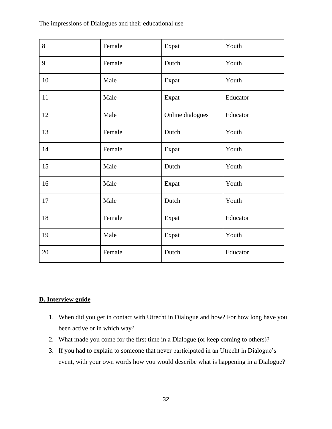| 8  | Female | Expat            | Youth    |
|----|--------|------------------|----------|
| 9  | Female | Dutch            | Youth    |
| 10 | Male   | Expat            | Youth    |
| 11 | Male   | Expat            | Educator |
| 12 | Male   | Online dialogues | Educator |
| 13 | Female | Dutch            | Youth    |
| 14 | Female | Expat            | Youth    |
| 15 | Male   | Dutch            | Youth    |
| 16 | Male   | Expat            | Youth    |
| 17 | Male   | Dutch            | Youth    |
| 18 | Female | Expat            | Educator |
| 19 | Male   | Expat            | Youth    |
| 20 | Female | Dutch            | Educator |

### **D. Interview guide**

- 1. When did you get in contact with Utrecht in Dialogue and how? For how long have you been active or in which way?
- 2. What made you come for the first time in a Dialogue (or keep coming to others)?
- 3. If you had to explain to someone that never participated in an Utrecht in Dialogue's event, with your own words how you would describe what is happening in a Dialogue?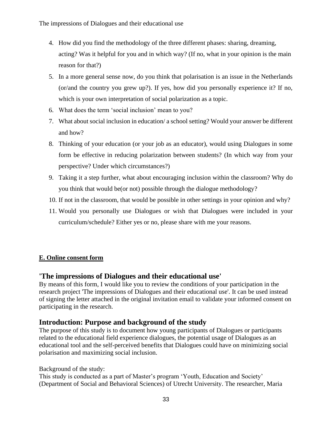- 4. How did you find the methodology of the three different phases: sharing, dreaming, acting? Was it helpful for you and in which way? (If no, what in your opinion is the main reason for that?)
- 5. In a more general sense now, do you think that polarisation is an issue in the Netherlands (or/and the country you grew up?). If yes, how did you personally experience it? If no, which is your own interpretation of social polarization as a topic.
- 6. What does the term 'social inclusion' mean to you?
- 7. What about social inclusion in education/ a school setting? Would your answer be different and how?
- 8. Thinking of your education (or your job as an educator), would using Dialogues in some form be effective in reducing polarization between students? (In which way from your perspective? Under which circumstances?)
- 9. Taking it a step further, what about encouraging inclusion within the classroom? Why do you think that would be(or not) possible through the dialogue methodology?
- 10. If not in the classroom, that would be possible in other settings in your opinion and why?
- 11. Would you personally use Dialogues or wish that Dialogues were included in your curriculum/schedule? Either yes or no, please share with me your reasons.

### **E. Online consent form**

### **'The impressions of Dialogues and their educational use'**

By means of this form, I would like you to review the conditions of your participation in the research project 'The impressions of Dialogues and their educational use'. It can be used instead of signing the letter attached in the original invitation email to validate your informed consent on participating in the research.

### **Introduction: Purpose and background of the study**

The purpose of this study is to document how young participants of Dialogues or participants related to the educational field experience dialogues, the potential usage of Dialogues as an educational tool and the self-perceived benefits that Dialogues could have on minimizing social polarisation and maximizing social inclusion.

Background of the study:

This study is conducted as a part of Master's program 'Youth, Education and Society' (Department of Social and Behavioral Sciences) of Utrecht University. The researcher, Maria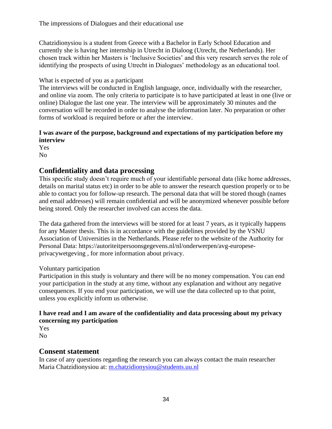Chatzidionysiou is a student from Greece with a Bachelor in Early School Education and currently she is having her internship in Utrecht in Dialoog (Utrecht, the Netherlands). Her chosen track within her Masters is 'Inclusive Societies' and this very research serves the role of identifying the prospects of using Utrecht in Dialogues' methodology as an educational tool.

### What is expected of you as a participant

The interviews will be conducted in English language, once, individually with the researcher, and online via zoom. The only criteria to participate is to have participated at least in one (live or online) Dialogue the last one year. The interview will be approximately 30 minutes and the conversation will be recorded in order to analyse the information later. No preparation or other forms of workload is required before or after the interview.

### **I was aware of the purpose, background and expectations of my participation before my interview**

Yes No

# **Confidentiality and data processing**

This specific study doesn't require much of your identifiable personal data (like home addresses, details on marital status etc) in order to be able to answer the research question properly or to be able to contact you for follow-up research. The personal data that will be stored though (names and email addresses) will remain confidential and will be anonymized whenever possible before being stored. Only the researcher involved can access the data.

The data gathered from the interviews will be stored for at least 7 years, as it typically happens for any Master thesis. This is in accordance with the guidelines provided by the VSNU Association of Universities in the Netherlands. Please refer to the website of the Authority for Personal Data: https://autoriteitpersoonsgegevens.nl/nl/onderwerpen/avg-europeseprivacywetgeving , for more information about privacy.

### Voluntary participation

Participation in this study is voluntary and there will be no money compensation. You can end your participation in the study at any time, without any explanation and without any negative consequences. If you end your participation, we will use the data collected up to that point, unless you explicitly inform us otherwise.

### **I have read and I am aware of the confidentiality and data processing about my privacy concerning my participation**

Yes No

# **Consent statement**

In case of any questions regarding the research you can always contact the main researcher Maria Chatzidionysiou at: [m.chatzidionysiou@students.uu.nl](mailto:m.chatzidionysiou@students.uu.nl)